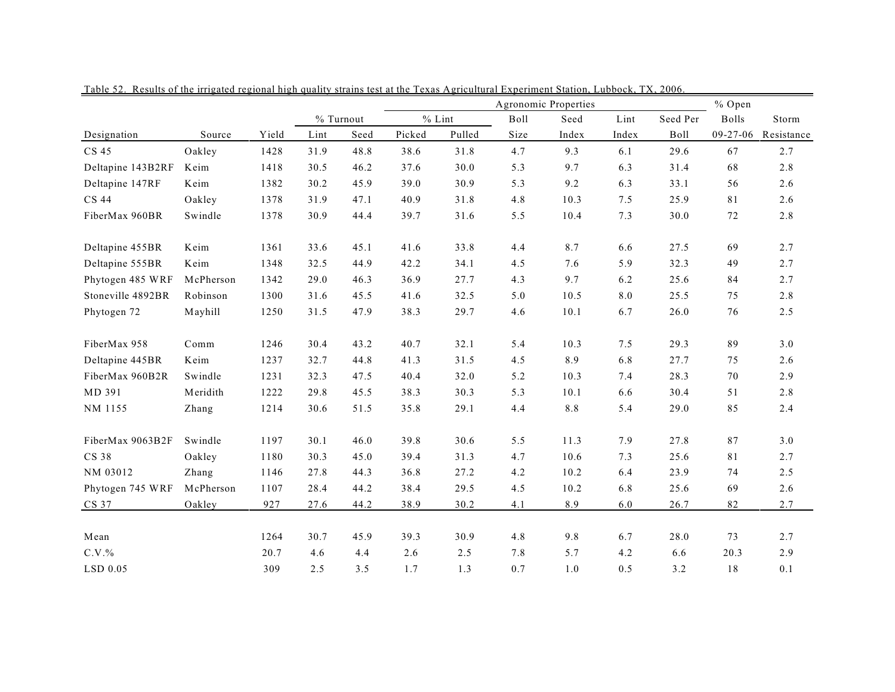|                   |           |       |      |           | Agronomic Properties |          |      |         |       |          | % Open       |            |  |
|-------------------|-----------|-------|------|-----------|----------------------|----------|------|---------|-------|----------|--------------|------------|--|
|                   |           |       |      | % Turnout |                      | $%$ Lint | Boll | Seed    | Lint  | Seed Per | <b>Bolls</b> | Storm      |  |
| Designation       | Source    | Yield | Lint | Seed      | Picked               | Pulled   | Size | Index   | Index | Boll     | 09-27-06     | Resistance |  |
| CS 45             | Oakley    | 1428  | 31.9 | 48.8      | 38.6                 | 31.8     | 4.7  | 9.3     | 6.1   | 29.6     | 67           | 2.7        |  |
| Deltapine 143B2RF | Keim      | 1418  | 30.5 | 46.2      | 37.6                 | 30.0     | 5.3  | 9.7     | 6.3   | 31.4     | 68           | 2.8        |  |
| Deltapine 147RF   | Keim      | 1382  | 30.2 | 45.9      | 39.0                 | 30.9     | 5.3  | 9.2     | 6.3   | 33.1     | 56           | 2.6        |  |
| CS 44             | Oakley    | 1378  | 31.9 | 47.1      | 40.9                 | 31.8     | 4.8  | 10.3    | 7.5   | 25.9     | 81           | 2.6        |  |
| FiberMax 960BR    | Swindle   | 1378  | 30.9 | 44.4      | 39.7                 | 31.6     | 5.5  | 10.4    | 7.3   | 30.0     | 72           | 2.8        |  |
| Deltapine 455BR   | Keim      | 1361  | 33.6 | 45.1      | 41.6                 | 33.8     | 4.4  | 8.7     | 6.6   | 27.5     | 69           | 2.7        |  |
| Deltapine 555BR   | Keim      | 1348  | 32.5 | 44.9      | 42.2                 | 34.1     | 4.5  | 7.6     | 5.9   | 32.3     | 49           | 2.7        |  |
| Phytogen 485 WRF  | McPherson | 1342  | 29.0 | 46.3      | 36.9                 | 27.7     | 4.3  | 9.7     | 6.2   | 25.6     | 84           | 2.7        |  |
| Stoneville 4892BR | Robinson  | 1300  | 31.6 | 45.5      | 41.6                 | 32.5     | 5.0  | 10.5    | 8.0   | 25.5     | 75           | 2.8        |  |
| Phytogen 72       | Mayhill   | 1250  | 31.5 | 47.9      | 38.3                 | 29.7     | 4.6  | $10.1$  | 6.7   | 26.0     | 76           | 2.5        |  |
| FiberMax 958      | Comm      | 1246  | 30.4 | 43.2      | 40.7                 | 32.1     | 5.4  | 10.3    | 7.5   | 29.3     | 89           | 3.0        |  |
| Deltapine 445BR   | Keim      | 1237  | 32.7 | 44.8      | 41.3                 | 31.5     | 4.5  | 8.9     | 6.8   | 27.7     | 75           | 2.6        |  |
| FiberMax 960B2R   | Swindle   | 1231  | 32.3 | 47.5      | 40.4                 | 32.0     | 5.2  | 10.3    | 7.4   | 28.3     | 70           | 2.9        |  |
| MD 391            | Meridith  | 1222  | 29.8 | 45.5      | 38.3                 | 30.3     | 5.3  | 10.1    | 6.6   | 30.4     | 51           | 2.8        |  |
| NM 1155           | Zhang     | 1214  | 30.6 | 51.5      | 35.8                 | 29.1     | 4.4  | $8.8\,$ | 5.4   | 29.0     | 85           | 2.4        |  |
| FiberMax 9063B2F  | Swindle   | 1197  | 30.1 | 46.0      | 39.8                 | 30.6     | 5.5  | 11.3    | 7.9   | 27.8     | 87           | 3.0        |  |
| CS 38             | Oakley    | 1180  | 30.3 | 45.0      | 39.4                 | 31.3     | 4.7  | 10.6    | 7.3   | 25.6     | 81           | 2.7        |  |
| NM 03012          | Zhang     | 1146  | 27.8 | 44.3      | 36.8                 | 27.2     | 4.2  | 10.2    | 6.4   | 23.9     | 74           | 2.5        |  |
| Phytogen 745 WRF  | McPherson | 1107  | 28.4 | 44.2      | 38.4                 | 29.5     | 4.5  | 10.2    | 6.8   | 25.6     | 69           | 2.6        |  |
| CS 37             | Oakley    | 927   | 27.6 | 44.2      | 38.9                 | 30.2     | 4.1  | 8.9     | 6.0   | 26.7     | 82           | 2.7        |  |
|                   |           |       |      |           |                      |          |      |         |       |          |              |            |  |
| Mean              |           | 1264  | 30.7 | 45.9      | 39.3                 | 30.9     | 4.8  | 9.8     | 6.7   | 28.0     | 73           | 2.7        |  |
| $C.V.$ %          |           | 20.7  | 4.6  | 4.4       | 2.6                  | 2.5      | 7.8  | 5.7     | 4.2   | 6.6      | 20.3         | 2.9        |  |
| LSD 0.05          |           | 309   | 2.5  | 3.5       | 1.7                  | 1.3      | 0.7  | 1.0     | 0.5   | 3.2      | 18           | 0.1        |  |

Table 52. Results of the irrigated regional high quality strains test at the Texas Agricultural Experiment Station, Lubbock, TX, 2006.